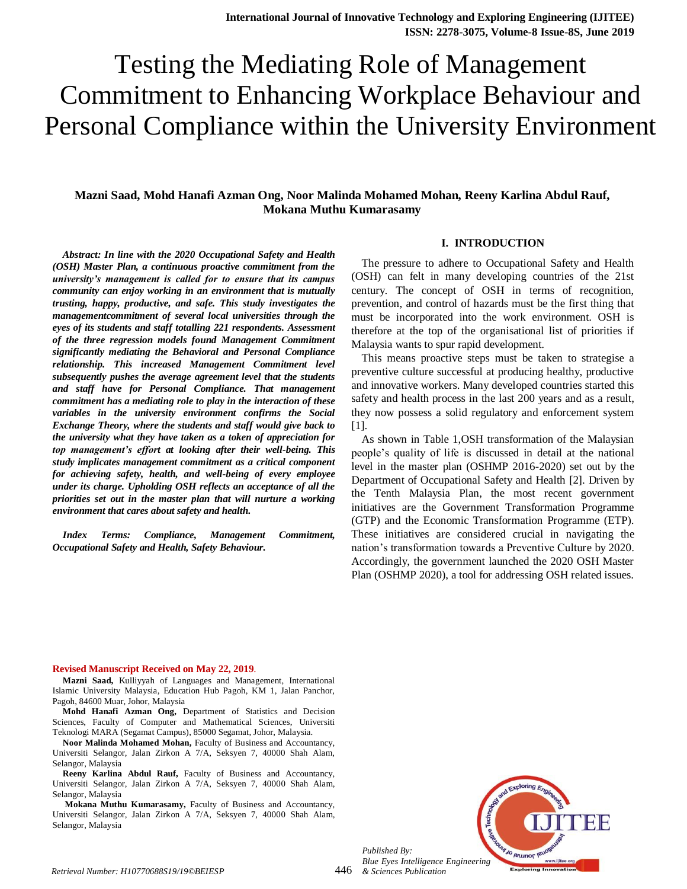# Testing the Mediating Role of Management Commitment to Enhancing Workplace Behaviour and Personal Compliance within the University Environment

# **Mazni Saad, Mohd Hanafi Azman Ong, Noor Malinda Mohamed Mohan, Reeny Karlina Abdul Rauf, Mokana Muthu Kumarasamy**

#### **I. INTRODUCTION**

*Abstract: In line with the 2020 Occupational Safety and Health (OSH) Master Plan, a continuous proactive commitment from the university's management is called for to ensure that its campus community can enjoy working in an environment that is mutually trusting, happy, productive, and safe. This study investigates the managementcommitment of several local universities through the eyes of its students and staff totalling 221 respondents. Assessment of the three regression models found Management Commitment significantly mediating the Behavioral and Personal Compliance relationship. This increased Management Commitment level subsequently pushes the average agreement level that the students and staff have for Personal Compliance. That management commitment has a mediating role to play in the interaction of these variables in the university environment confirms the Social Exchange Theory, where the students and staff would give back to the university what they have taken as a token of appreciation for top management's effort at looking after their well-being. This study implicates management commitment as a critical component for achieving safety, health, and well-being of every employee under its charge. Upholding OSH reflects an acceptance of all the priorities set out in the master plan that will nurture a working environment that cares about safety and health.*

*Index Terms: Compliance, Management Commitment, Occupational Safety and Health, Safety Behaviour.*

The pressure to adhere to Occupational Safety and Health (OSH) can felt in many developing countries of the 21st century. The concept of OSH in terms of recognition, prevention, and control of hazards must be the first thing that must be incorporated into the work environment. OSH is therefore at the top of the organisational list of priorities if Malaysia wants to spur rapid development.

This means proactive steps must be taken to strategise a preventive culture successful at producing healthy, productive and innovative workers. Many developed countries started this safety and health process in the last 200 years and as a result, they now possess a solid regulatory and enforcement system [1].

As shown in Table 1,OSH transformation of the Malaysian people's quality of life is discussed in detail at the national level in the master plan (OSHMP 2016-2020) set out by the Department of Occupational Safety and Health [2]. Driven by the Tenth Malaysia Plan, the most recent government initiatives are the Government Transformation Programme (GTP) and the Economic Transformation Programme (ETP). These initiatives are considered crucial in navigating the nation's transformation towards a Preventive Culture by 2020. Accordingly, the government launched the 2020 OSH Master Plan (OSHMP 2020), a tool for addressing OSH related issues.

#### **Revised Manuscript Received on May 22, 2019**.

**Mazni Saad,** Kulliyyah of Languages and Management, International Islamic University Malaysia, Education Hub Pagoh, KM 1, Jalan Panchor, Pagoh, 84600 Muar, Johor, Malaysia

**Mohd Hanafi Azman Ong,** Department of Statistics and Decision Sciences, Faculty of Computer and Mathematical Sciences, Universiti Teknologi MARA (Segamat Campus), 85000 Segamat, Johor, Malaysia.

**Noor Malinda Mohamed Mohan,** Faculty of Business and Accountancy, Universiti Selangor, Jalan Zirkon A 7/A, Seksyen 7, 40000 Shah Alam, Selangor, Malaysia

**Reeny Karlina Abdul Rauf,** Faculty of Business and Accountancy, Universiti Selangor, Jalan Zirkon A 7/A, Seksyen 7, 40000 Shah Alam, Selangor, Malaysia

**Mokana Muthu Kumarasamy,** Faculty of Business and Accountancy, Universiti Selangor, Jalan Zirkon A 7/A, Seksyen 7, 40000 Shah Alam, Selangor, Malaysia

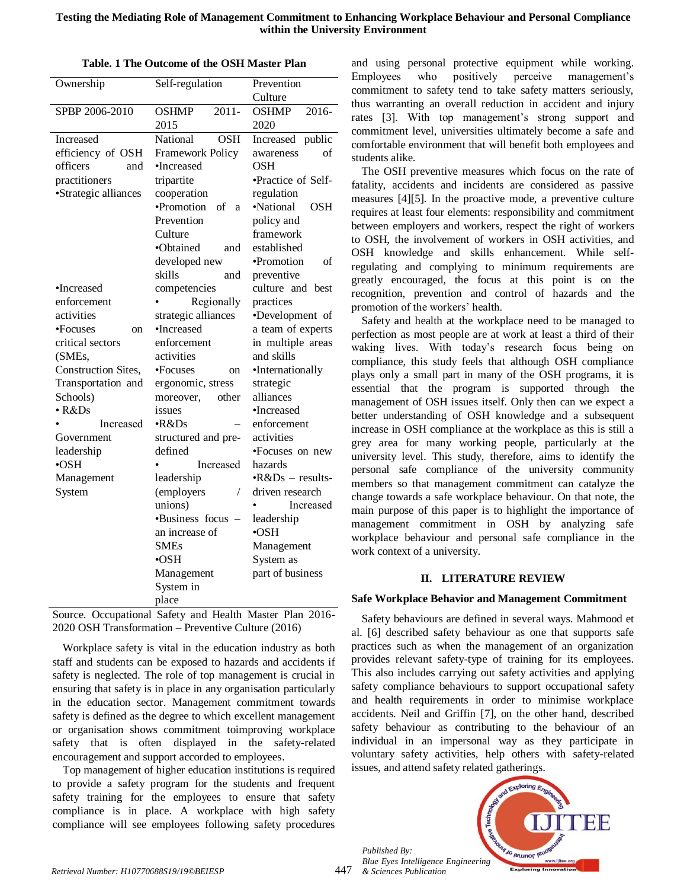| Ownership            | Self-regulation                             | Prevention              |  |
|----------------------|---------------------------------------------|-------------------------|--|
|                      |                                             | Culture                 |  |
| SPBP 2006-2010       | <b>OSHMP</b><br>$2011 -$                    | 2016-<br><b>OSHMP</b>   |  |
|                      | 2015                                        | 2020                    |  |
| Increased            | National<br><b>OSH</b>                      | Increased<br>public     |  |
| efficiency of OSH    | <b>Framework Policy</b>                     | awareness<br>οf         |  |
| officers<br>and      | •Increased                                  | OSH                     |  |
| practitioners        | tripartite                                  | •Practice of Self-      |  |
| •Strategic alliances | cooperation                                 | regulation              |  |
|                      | ·Promotion<br>of<br>a                       | ·National<br>OSH        |  |
|                      | Prevention                                  | policy and              |  |
|                      | Culture                                     | framework               |  |
|                      | •Obtained<br>and                            | established             |  |
|                      | developed new                               | •Promotion<br>of        |  |
|                      | skills<br>and                               | preventive              |  |
| •Increased           | competencies                                | culture and best        |  |
| enforcement          | Regionally                                  | practices               |  |
| activities           | strategic alliances                         | •Development of         |  |
| •Focuses<br>on       | •Increased                                  | a team of experts       |  |
| critical sectors     | enforcement                                 | in multiple areas       |  |
| (SMEs,               | activities                                  | and skills              |  |
| Construction Sites,  | •Focuses<br><sub>on</sub>                   | •Internationally        |  |
| Transportation and   | ergonomic, stress                           | strategic               |  |
| Schools)             | other<br>moreover,                          | alliances               |  |
| $\cdot$ R&Ds         | issues                                      | •Increased              |  |
| Increased            | $\cdot$ R&Ds                                | enforcement             |  |
| Government           | structured and pre-                         | activities              |  |
| leadership           | defined                                     | •Focuses on new         |  |
| $\cdot$ OSH          | Increased                                   | hazards                 |  |
| Management           | leadership                                  | $\cdot$ R&Ds - results- |  |
| System               | (employers<br>$\sqrt{2}$                    | driven research         |  |
|                      | unions)                                     | Increased               |  |
|                      | •Business focus<br>$\overline{\phantom{a}}$ | leadership              |  |
|                      | an increase of                              | •OSH                    |  |
|                      | <b>SMEs</b>                                 | Management              |  |
|                      | •OSH                                        | System as               |  |
|                      | Management                                  | part of business        |  |
|                      | System in                                   |                         |  |
|                      | place                                       |                         |  |

| Table. 1 The Outcome of the OSH Master Plan |  |
|---------------------------------------------|--|
|---------------------------------------------|--|

Source. Occupational Safety and Health Master Plan 2016- 2020 OSH Transformation – Preventive Culture (2016)

Workplace safety is vital in the education industry as both staff and students can be exposed to hazards and accidents if safety is neglected. The role of top management is crucial in ensuring that safety is in place in any organisation particularly in the education sector. Management commitment towards safety is defined as the degree to which excellent management or organisation shows commitment toimproving workplace safety that is often displayed in the safety-related encouragement and support accorded to employees.

Top management of higher education institutions is required to provide a safety program for the students and frequent safety training for the employees to ensure that safety compliance is in place. A workplace with high safety compliance will see employees following safety procedures

and using personal protective equipment while working. Employees who positively perceive management's commitment to safety tend to take safety matters seriously, thus warranting an overall reduction in accident and injury rates [3]. With top management's strong support and commitment level, universities ultimately become a safe and comfortable environment that will benefit both employees and students alike.

The OSH preventive measures which focus on the rate of fatality, accidents and incidents are considered as passive measures [4][5]. In the proactive mode, a preventive culture requires at least four elements: responsibility and commitment between employers and workers, respect the right of workers to OSH, the involvement of workers in OSH activities, and OSH knowledge and skills enhancement. While selfregulating and complying to minimum requirements are greatly encouraged, the focus at this point is on the recognition, prevention and control of hazards and the promotion of the workers' health.

Safety and health at the workplace need to be managed to perfection as most people are at work at least a third of their waking lives. With today's research focus being on compliance, this study feels that although OSH compliance plays only a small part in many of the OSH programs, it is essential that the program is supported through the management of OSH issues itself. Only then can we expect a better understanding of OSH knowledge and a subsequent increase in OSH compliance at the workplace as this is still a grey area for many working people, particularly at the university level. This study, therefore, aims to identify the personal safe compliance of the university community members so that management commitment can catalyze the change towards a safe workplace behaviour. On that note, the main purpose of this paper is to highlight the importance of management commitment in OSH by analyzing safe workplace behaviour and personal safe compliance in the work context of a university.

## **II. LITERATURE REVIEW**

## **Safe Workplace Behavior and Management Commitment**

Safety behaviours are defined in several ways. Mahmood et al. [6] described safety behaviour as one that supports safe practices such as when the management of an organization provides relevant safety-type of training for its employees. This also includes carrying out safety activities and applying safety compliance behaviours to support occupational safety and health requirements in order to minimise workplace accidents. Neil and Griffin [7], on the other hand, described safety behaviour as contributing to the behaviour of an individual in an impersonal way as they participate in voluntary safety activities, help others with safety-related issues, and attend safety related gatherings.

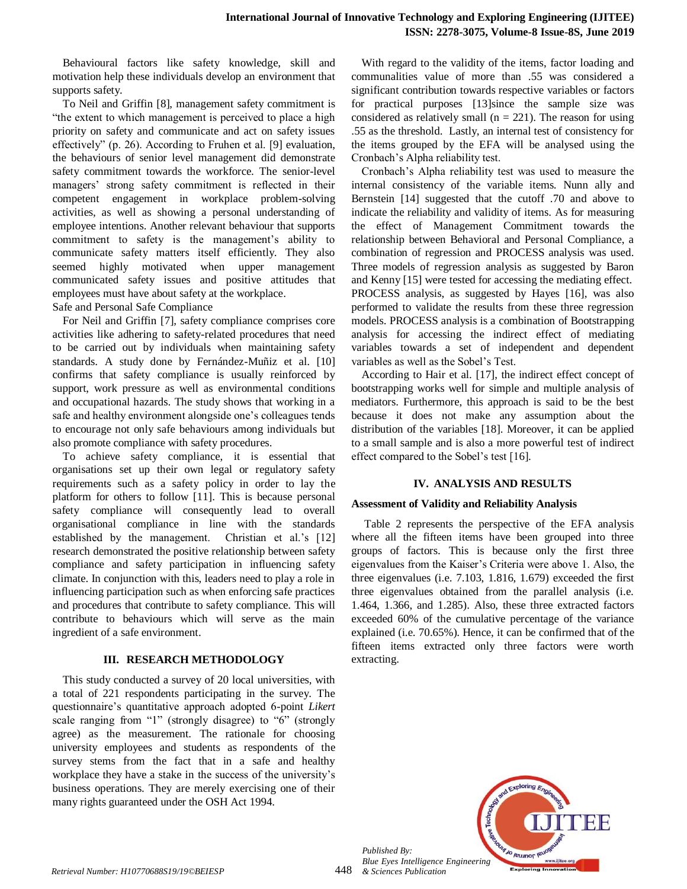Behavioural factors like safety knowledge, skill and motivation help these individuals develop an environment that supports safety.

To Neil and Griffin [8], management safety commitment is "the extent to which management is perceived to place a high priority on safety and communicate and act on safety issues effectively" (p. 26). According to Fruhen et al. [9] evaluation, the behaviours of senior level management did demonstrate safety commitment towards the workforce. The senior-level managers' strong safety commitment is reflected in their competent engagement in workplace problem-solving activities, as well as showing a personal understanding of employee intentions. Another relevant behaviour that supports commitment to safety is the management's ability to communicate safety matters itself efficiently. They also seemed highly motivated when upper management communicated safety issues and positive attitudes that employees must have about safety at the workplace. Safe and Personal Safe Compliance

For Neil and Griffin [7], safety compliance comprises core activities like adhering to safety-related procedures that need to be carried out by individuals when maintaining safety standards. A study done by Fernández-Muñiz et al. [10] confirms that safety compliance is usually reinforced by support, work pressure as well as environmental conditions and occupational hazards. The study shows that working in a safe and healthy environment alongside one's colleagues tends to encourage not only safe behaviours among individuals but also promote compliance with safety procedures.

To achieve safety compliance, it is essential that organisations set up their own legal or regulatory safety requirements such as a safety policy in order to lay the platform for others to follow [11]. This is because personal safety compliance will consequently lead to overall organisational compliance in line with the standards established by the management. Christian et al.'s [12] research demonstrated the positive relationship between safety compliance and safety participation in influencing safety climate. In conjunction with this, leaders need to play a role in influencing participation such as when enforcing safe practices and procedures that contribute to safety compliance. This will contribute to behaviours which will serve as the main ingredient of a safe environment.

## **III. RESEARCH METHODOLOGY**

This study conducted a survey of 20 local universities, with a total of 221 respondents participating in the survey. The questionnaire's quantitative approach adopted 6-point *Likert* scale ranging from "1" (strongly disagree) to "6" (strongly agree) as the measurement. The rationale for choosing university employees and students as respondents of the survey stems from the fact that in a safe and healthy workplace they have a stake in the success of the university's business operations. They are merely exercising one of their many rights guaranteed under the OSH Act 1994.

With regard to the validity of the items, factor loading and communalities value of more than .55 was considered a significant contribution towards respective variables or factors for practical purposes [13]since the sample size was considered as relatively small ( $n = 221$ ). The reason for using .55 as the threshold. Lastly, an internal test of consistency for the items grouped by the EFA will be analysed using the Cronbach's Alpha reliability test.

Cronbach's Alpha reliability test was used to measure the internal consistency of the variable items. Nunn ally and Bernstein [14] suggested that the cutoff .70 and above to indicate the reliability and validity of items. As for measuring the effect of Management Commitment towards the relationship between Behavioral and Personal Compliance, a combination of regression and PROCESS analysis was used. Three models of regression analysis as suggested by Baron and Kenny [15] were tested for accessing the mediating effect. PROCESS analysis, as suggested by Hayes [16], was also performed to validate the results from these three regression models. PROCESS analysis is a combination of Bootstrapping analysis for accessing the indirect effect of mediating variables towards a set of independent and dependent variables as well as the Sobel's Test.

According to Hair et al. [17], the indirect effect concept of bootstrapping works well for simple and multiple analysis of mediators. Furthermore, this approach is said to be the best because it does not make any assumption about the distribution of the variables [18]. Moreover, it can be applied to a small sample and is also a more powerful test of indirect effect compared to the Sobel's test [16].

## **IV. ANALYSIS AND RESULTS**

## **Assessment of Validity and Reliability Analysis**

Table 2 represents the perspective of the EFA analysis where all the fifteen items have been grouped into three groups of factors. This is because only the first three eigenvalues from the Kaiser's Criteria were above 1. Also, the three eigenvalues (i.e. 7.103, 1.816, 1.679) exceeded the first three eigenvalues obtained from the parallel analysis (i.e. 1.464, 1.366, and 1.285). Also, these three extracted factors exceeded 60% of the cumulative percentage of the variance explained (i.e. 70.65%). Hence, it can be confirmed that of the fifteen items extracted only three factors were worth extracting.

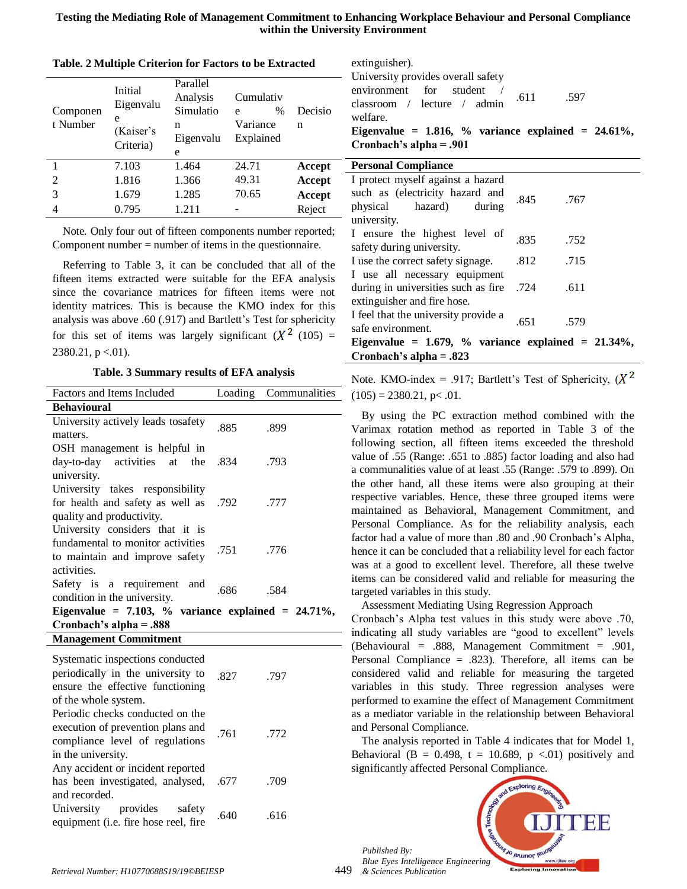**Testing the Mediating Role of Management Commitment to Enhancing Workplace Behaviour and Personal Compliance within the University Environment**

| Componen<br>t Number | Initial<br>Eigenvalu<br>e | Parallel<br>Analysis<br>Simulatio<br>n | Cumulativ<br>$\%$<br>e<br>Variance | Decisio<br>n |
|----------------------|---------------------------|----------------------------------------|------------------------------------|--------------|
|                      | (Kaiser's<br>Criteria)    | Eigenvalu<br>e                         | Explained                          |              |
|                      | 7.103                     | 1.464                                  | 24.71                              | Accept       |
| 2                    | 1.816                     | 1.366                                  | 49.31                              | Accept       |
| 3                    | 1.679                     | 1.285                                  | 70.65                              | Accept       |
|                      | 0.795                     | 1.211                                  |                                    | Reject       |

**Table. 2 Multiple Criterion for Factors to be Extracted**

Note*.* Only four out of fifteen components number reported; Component number = number of items in the questionnaire.

Referring to Table 3, it can be concluded that all of the fifteen items extracted were suitable for the EFA analysis since the covariance matrices for fifteen items were not identity matrices. This is because the KMO index for this analysis was above .60 (.917) and Bartlett's Test for sphericity for this set of items was largely significant  $(X^2 (105) =$  $2380.21$ , p <.01).

**Table. 3 Summary results of EFA analysis**

| Factors and Items Included                                                                                            |      | Loading Communalities |  |
|-----------------------------------------------------------------------------------------------------------------------|------|-----------------------|--|
|                                                                                                                       |      |                       |  |
| <b>Behavioural</b>                                                                                                    |      |                       |  |
| University actively leads tosafety<br>matters.                                                                        | .885 | .899                  |  |
| OSH management is helpful in<br>day-to-day activities at the .834<br>university.                                      |      | .793                  |  |
| University takes responsibility<br>for health and safety as well as .792<br>quality and productivity.                 |      | .777                  |  |
| University considers that it is<br>fundamental to monitor activities<br>to maintain and improve safety<br>activities. | .751 | .776                  |  |
| Safety is a requirement and<br>condition in the university.                                                           | .686 | .584                  |  |
| Eigenvalue = $7.103$ , % variance explained = $24.71\%$ ,                                                             |      |                       |  |
| Cronbach's alpha $= .888$                                                                                             |      |                       |  |
| <b>Management Commitment</b>                                                                                          |      |                       |  |
|                                                                                                                       |      |                       |  |

| Systematic inspections conducted<br>periodically in the university to<br>ensure the effective functioning<br>of the whole system. | 827  | .797 |
|-----------------------------------------------------------------------------------------------------------------------------------|------|------|
| Periodic checks conducted on the<br>execution of prevention plans and<br>compliance level of regulations<br>in the university.    | .761 | .772 |
| Any accident or incident reported<br>has been investigated, analysed, .677<br>and recorded.                                       |      | .709 |
| University provides<br>safety<br>equipment (i.e. fire hose reel, fire                                                             | .640 | .616 |

extinguisher). University provides overall safety environment for student classroom / lecture / admin welfare. .611 .597 **Eigenvalue = 1.816, % variance explained = 24.61%, Cronbach's alpha = .901**

| <b>Personal Compliance</b>                                |      |      |  |
|-----------------------------------------------------------|------|------|--|
| I protect myself against a hazard                         |      |      |  |
| such as (electricity hazard and                           | .845 | .767 |  |
| physical hazard)<br>during                                |      |      |  |
| university.                                               |      |      |  |
| I ensure the highest level of                             | .835 | .752 |  |
| safety during university.                                 |      |      |  |
| I use the correct safety signage.                         | .812 | .715 |  |
| I use all necessary equipment                             |      |      |  |
| during in universities such as fire .724                  |      | .611 |  |
| extinguisher and fire hose.                               |      |      |  |
| I feel that the university provide a                      | .651 |      |  |
| safe environment.                                         |      | .579 |  |
| Eigenvalue = $1.679$ , % variance explained = $21.34\%$ , |      |      |  |
| Cronbach's alpha = $.823$                                 |      |      |  |

Note. KMO-index = .917; Bartlett's Test of Sphericity,  $(X^2)$  $(105) = 2380.21$ , p < .01.

By using the PC extraction method combined with the Varimax rotation method as reported in Table 3 of the following section, all fifteen items exceeded the threshold value of .55 (Range: .651 to .885) factor loading and also had a communalities value of at least .55 (Range: .579 to .899). On the other hand, all these items were also grouping at their respective variables. Hence, these three grouped items were maintained as Behavioral, Management Commitment, and Personal Compliance. As for the reliability analysis, each factor had a value of more than .80 and .90 Cronbach's Alpha, hence it can be concluded that a reliability level for each factor was at a good to excellent level. Therefore, all these twelve items can be considered valid and reliable for measuring the targeted variables in this study.

Assessment Mediating Using Regression Approach Cronbach's Alpha test values in this study were above .70, indicating all study variables are "good to excellent" levels (Behavioural = .888, Management Commitment = .901, Personal Compliance = .823). Therefore, all items can be considered valid and reliable for measuring the targeted variables in this study. Three regression analyses were performed to examine the effect of Management Commitment as a mediator variable in the relationship between Behavioral and Personal Compliance.

The analysis reported in Table 4 indicates that for Model 1, Behavioral (B = 0.498, t = 10.689, p < 01) positively and significantly affected Personal Compliance.



*Retrieval Number: H10770688S19/19©BEIESP* 449

*Published By:*

*& Sciences Publication*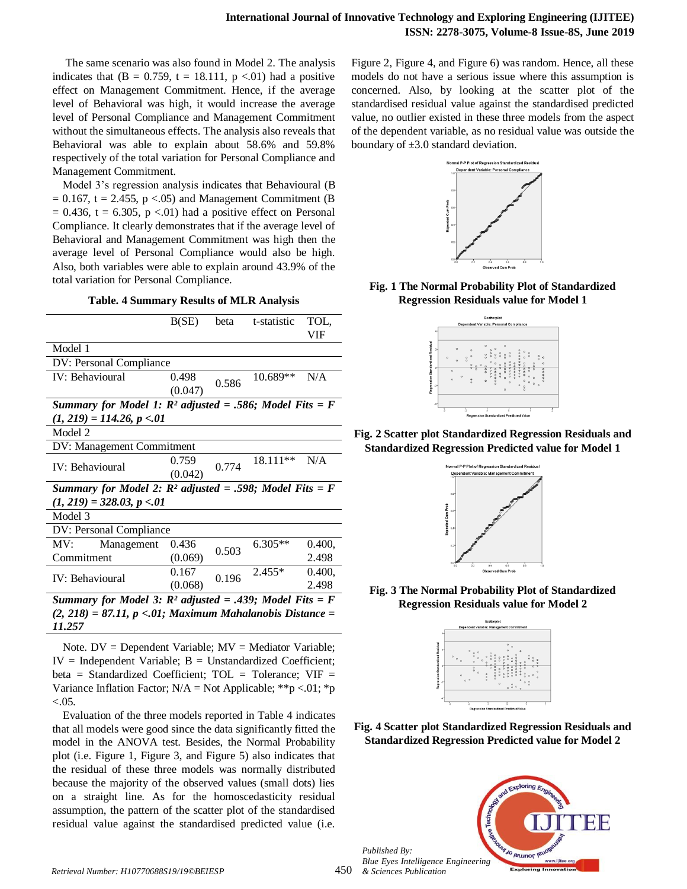The same scenario was also found in Model 2. The analysis indicates that  $(B = 0.759, t = 18.111, p < 0.01)$  had a positive effect on Management Commitment. Hence, if the average level of Behavioral was high, it would increase the average level of Personal Compliance and Management Commitment without the simultaneous effects. The analysis also reveals that Behavioral was able to explain about 58.6% and 59.8% respectively of the total variation for Personal Compliance and Management Commitment.

Model 3's regression analysis indicates that Behavioural (B  $= 0.167$ , t = 2.455, p <.05) and Management Commitment (B  $= 0.436$ , t  $= 6.305$ , p <.01) had a positive effect on Personal Compliance. It clearly demonstrates that if the average level of Behavioral and Management Commitment was high then the average level of Personal Compliance would also be high. Also, both variables were able to explain around 43.9% of the total variation for Personal Compliance.

**Table. 4 Summary Results of MLR Analysis**

|                                                            | B(SE)   | beta  | t-statistic | TOL.   |  |
|------------------------------------------------------------|---------|-------|-------------|--------|--|
|                                                            |         |       |             | VIF    |  |
| Model 1                                                    |         |       |             |        |  |
| DV: Personal Compliance                                    |         |       |             |        |  |
| <b>IV</b> : Behavioural                                    | 0.498   |       | 10.689**    | N/A    |  |
|                                                            | (0.047) | 0.586 |             |        |  |
| Summary for Model 1: $R^2$ adjusted = .586; Model Fits = F |         |       |             |        |  |
| $(1, 219) = 114.26, p < 01$                                |         |       |             |        |  |
| Model 2                                                    |         |       |             |        |  |
| DV: Management Commitment                                  |         |       |             |        |  |
|                                                            | 0.759   | 0.774 | 18.111**    | N/A    |  |
| IV: Behavioural                                            | (0.042) |       |             |        |  |
| Summary for Model 2: $R^2$ adjusted = .598; Model Fits = F |         |       |             |        |  |
| $(1, 219) = 328.03$ , $p < 01$                             |         |       |             |        |  |
| Model 3                                                    |         |       |             |        |  |
| DV: Personal Compliance                                    |         |       |             |        |  |
| Management<br>MV:                                          | 0.436   |       | $6.305**$   | 0.400, |  |
| Commitment                                                 | (0.069) | 0.503 |             | 2.498  |  |
|                                                            | 0.167   | 0.196 | $2.455*$    | 0.400, |  |
| IV: Behavioural                                            | (0.068) |       |             | 2.498  |  |
| Summary for Model 3: $R^2$ adjusted = .439; Model Fits = F |         |       |             |        |  |
|                                                            |         |       |             |        |  |

*(2, 218) = 87.11, p <.01; Maximum Mahalanobis Distance = 11.257*

Note.  $DV = Dependent Variable$ ;  $MV = Mediator Variable$ ;  $IV = Independent Variable$ ;  $B = Unstandardized Coefficient$ ; beta = Standardized Coefficient;  $TOL = Tolerance$ ;  $VIF =$ Variance Inflation Factor;  $N/A = Not$  Applicable; \*\*p <.01; \*p  $< 0.05$ .

Evaluation of the three models reported in Table 4 indicates that all models were good since the data significantly fitted the model in the ANOVA test. Besides, the Normal Probability plot (i.e. Figure 1, Figure 3, and Figure 5) also indicates that the residual of these three models was normally distributed because the majority of the observed values (small dots) lies on a straight line. As for the homoscedasticity residual assumption, the pattern of the scatter plot of the standardised residual value against the standardised predicted value (i.e.

Figure 2, Figure 4, and Figure 6) was random. Hence, all these models do not have a serious issue where this assumption is concerned. Also, by looking at the scatter plot of the standardised residual value against the standardised predicted value, no outlier existed in these three models from the aspect of the dependent variable, as no residual value was outside the boundary of  $\pm 3.0$  standard deviation.



**Fig. 1 The Normal Probability Plot of Standardized Regression Residuals value for Model 1**



**Fig. 2 Scatter plot Standardized Regression Residuals and Standardized Regression Predicted value for Model 1**



**Fig. 3 The Normal Probability Plot of Standardized Regression Residuals value for Model 2**



**Fig. 4 Scatter plot Standardized Regression Residuals and Standardized Regression Predicted value for Model 2**

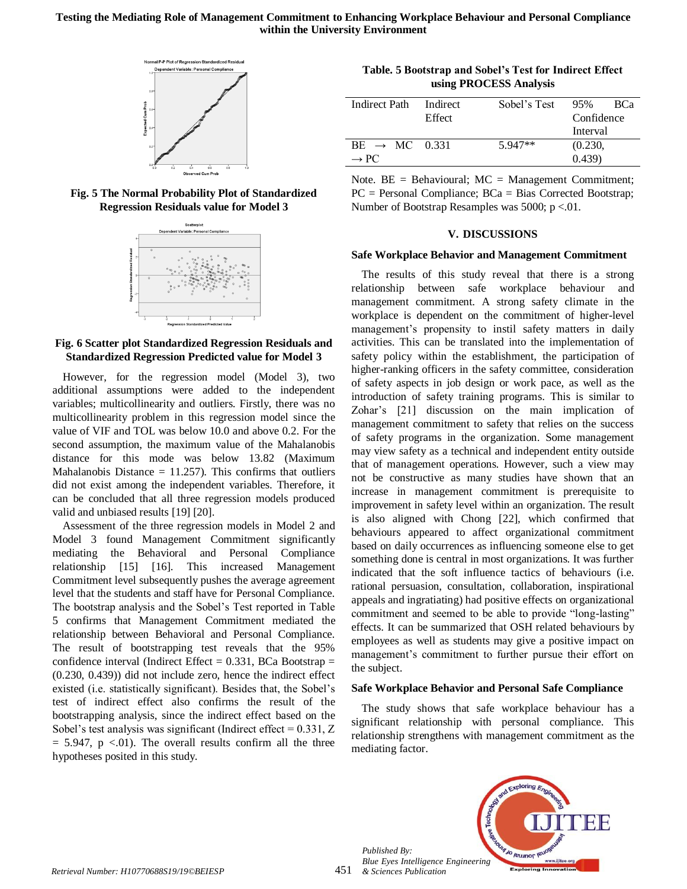

**Fig. 5 The Normal Probability Plot of Standardized Regression Residuals value for Model 3**



**Fig. 6 Scatter plot Standardized Regression Residuals and Standardized Regression Predicted value for Model 3**

However, for the regression model (Model 3), two additional assumptions were added to the independent variables; multicollinearity and outliers. Firstly, there was no multicollinearity problem in this regression model since the value of VIF and TOL was below 10.0 and above 0.2. For the second assumption, the maximum value of the Mahalanobis distance for this mode was below 13.82 (Maximum Mahalanobis Distance  $= 11.257$ ). This confirms that outliers did not exist among the independent variables. Therefore, it can be concluded that all three regression models produced valid and unbiased results [19] [20].

Assessment of the three regression models in Model 2 and Model 3 found Management Commitment significantly mediating the Behavioral and Personal Compliance relationship [15] [16]. This increased Management Commitment level subsequently pushes the average agreement level that the students and staff have for Personal Compliance. The bootstrap analysis and the Sobel's Test reported in Table 5 confirms that Management Commitment mediated the relationship between Behavioral and Personal Compliance. The result of bootstrapping test reveals that the 95% confidence interval (Indirect Effect  $= 0.331$ , BCa Bootstrap  $=$ (0.230, 0.439)) did not include zero, hence the indirect effect existed (i.e. statistically significant). Besides that, the Sobel's test of indirect effect also confirms the result of the bootstrapping analysis, since the indirect effect based on the Sobel's test analysis was significant (Indirect effect  $= 0.331, Z$  $= 5.947$ , p <.01). The overall results confirm all the three hypotheses posited in this study.

**Table. 5 Bootstrap and Sobel's Test for Indirect Effect using PROCESS Analysis**

| Indirect Path             | Indirect | Sobel's Test | 95%<br>RC <sup>a</sup> |
|---------------------------|----------|--------------|------------------------|
|                           | Effect   |              | Confidence             |
|                           |          |              | Interval               |
| $BE \rightarrow MC$ 0.331 |          | $5.947**$    | (0.230,                |
| $\rightarrow$ PC          |          |              | (0.439)                |
|                           |          |              |                        |

Note.  $BE = Behavioural$ ;  $MC = Management Comment$ ; PC = Personal Compliance; BCa = Bias Corrected Bootstrap; Number of Bootstrap Resamples was 5000;  $p < 01$ .

## **V. DISCUSSIONS**

#### **Safe Workplace Behavior and Management Commitment**

The results of this study reveal that there is a strong relationship between safe workplace behaviour and management commitment. A strong safety climate in the workplace is dependent on the commitment of higher-level management's propensity to instil safety matters in daily activities. This can be translated into the implementation of safety policy within the establishment, the participation of higher-ranking officers in the safety committee, consideration of safety aspects in job design or work pace, as well as the introduction of safety training programs. This is similar to Zohar's [21] discussion on the main implication of management commitment to safety that relies on the success of safety programs in the organization. Some management may view safety as a technical and independent entity outside that of management operations. However, such a view may not be constructive as many studies have shown that an increase in management commitment is prerequisite to improvement in safety level within an organization. The result is also aligned with Chong [22], which confirmed that behaviours appeared to affect organizational commitment based on daily occurrences as influencing someone else to get something done is central in most organizations. It was further indicated that the soft influence tactics of behaviours (i.e. rational persuasion, consultation, collaboration, inspirational appeals and ingratiating) had positive effects on organizational commitment and seemed to be able to provide "long-lasting" effects. It can be summarized that OSH related behaviours by employees as well as students may give a positive impact on management's commitment to further pursue their effort on the subject.

#### **Safe Workplace Behavior and Personal Safe Compliance**

The study shows that safe workplace behaviour has a significant relationship with personal compliance. This relationship strengthens with management commitment as the mediating factor.

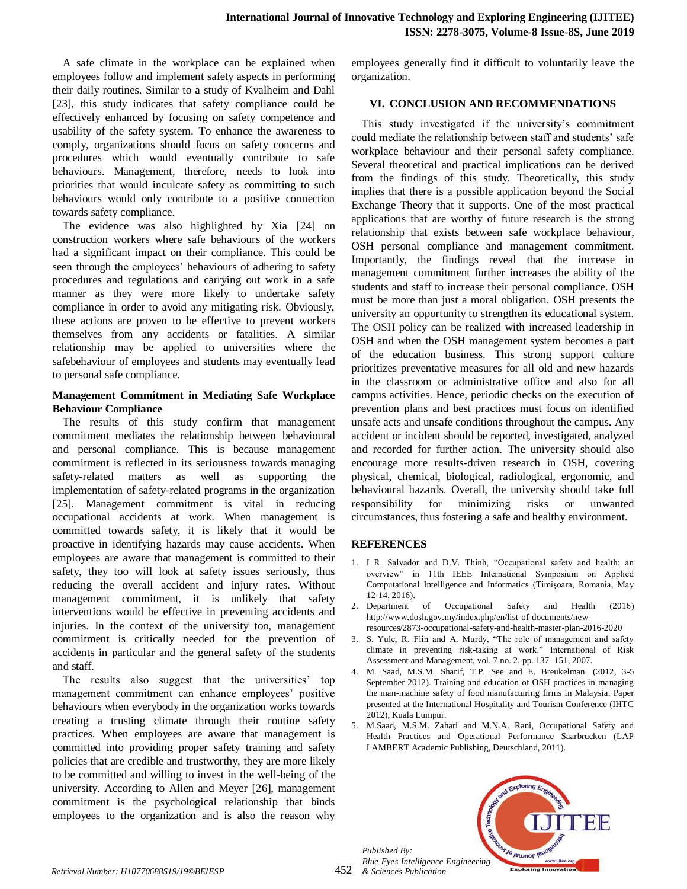A safe climate in the workplace can be explained when employees follow and implement safety aspects in performing their daily routines. Similar to a study of Kvalheim and Dahl [23], this study indicates that safety compliance could be effectively enhanced by focusing on safety competence and usability of the safety system. To enhance the awareness to comply, organizations should focus on safety concerns and procedures which would eventually contribute to safe behaviours. Management, therefore, needs to look into priorities that would inculcate safety as committing to such behaviours would only contribute to a positive connection towards safety compliance.

The evidence was also highlighted by Xia [24] on construction workers where safe behaviours of the workers had a significant impact on their compliance. This could be seen through the employees' behaviours of adhering to safety procedures and regulations and carrying out work in a safe manner as they were more likely to undertake safety compliance in order to avoid any mitigating risk. Obviously, these actions are proven to be effective to prevent workers themselves from any accidents or fatalities. A similar relationship may be applied to universities where the safebehaviour of employees and students may eventually lead to personal safe compliance.

# **Management Commitment in Mediating Safe Workplace Behaviour Compliance**

The results of this study confirm that management commitment mediates the relationship between behavioural and personal compliance. This is because management commitment is reflected in its seriousness towards managing safety-related matters as well as supporting the implementation of safety-related programs in the organization [25]. Management commitment is vital in reducing occupational accidents at work. When management is committed towards safety, it is likely that it would be proactive in identifying hazards may cause accidents. When employees are aware that management is committed to their safety, they too will look at safety issues seriously, thus reducing the overall accident and injury rates. Without management commitment, it is unlikely that safety interventions would be effective in preventing accidents and injuries. In the context of the university too, management commitment is critically needed for the prevention of accidents in particular and the general safety of the students and staff.

The results also suggest that the universities' top management commitment can enhance employees' positive behaviours when everybody in the organization works towards creating a trusting climate through their routine safety practices. When employees are aware that management is committed into providing proper safety training and safety policies that are credible and trustworthy, they are more likely to be committed and willing to invest in the well-being of the university. According to Allen and Meyer [26], management commitment is the psychological relationship that binds employees to the organization and is also the reason why employees generally find it difficult to voluntarily leave the organization.

# **VI. CONCLUSION AND RECOMMENDATIONS**

This study investigated if the university's commitment could mediate the relationship between staff and students' safe workplace behaviour and their personal safety compliance. Several theoretical and practical implications can be derived from the findings of this study. Theoretically, this study implies that there is a possible application beyond the Social Exchange Theory that it supports. One of the most practical applications that are worthy of future research is the strong relationship that exists between safe workplace behaviour, OSH personal compliance and management commitment. Importantly, the findings reveal that the increase in management commitment further increases the ability of the students and staff to increase their personal compliance. OSH must be more than just a moral obligation. OSH presents the university an opportunity to strengthen its educational system. The OSH policy can be realized with increased leadership in OSH and when the OSH management system becomes a part of the education business. This strong support culture prioritizes preventative measures for all old and new hazards in the classroom or administrative office and also for all campus activities. Hence, periodic checks on the execution of prevention plans and best practices must focus on identified unsafe acts and unsafe conditions throughout the campus. Any accident or incident should be reported, investigated, analyzed and recorded for further action. The university should also encourage more results-driven research in OSH, covering physical, chemical, biological, radiological, ergonomic, and behavioural hazards. Overall, the university should take full responsibility for minimizing risks or unwanted circumstances, thus fostering a safe and healthy environment.

# **REFERENCES**

- 1. L.R. Salvador and D.V. Thinh, "Occupational safety and health: an overview" in 11th IEEE International Symposium on Applied Computational Intelligence and Informatics (Timişoara, Romania, May 12-14, 2016).
- 2. Department of Occupational Safety and Health (2016) http://www.dosh.gov.my/index.php/en/list-of-documents/newresources/2873-occupational-safety-and-health-master-plan-2016-2020
- 3. S. Yule, R. Flin and A. Murdy, "The role of management and safety climate in preventing risk-taking at work." International of Risk Assessment and Management, vol. 7 no. 2, pp. 137–151, 2007.
- 4. M. Saad, M.S.M. Sharif, T.P. See and E. Breukelman. (2012, 3-5 September 2012). Training and education of OSH practices in managing the man-machine safety of food manufacturing firms in Malaysia. Paper presented at the International Hospitality and Tourism Conference (IHTC 2012), Kuala Lumpur.
- 5. M.Saad, M.S.M. Zahari and M.N.A. Rani, Occupational Safety and Health Practices and Operational Performance Saarbrucken (LAP LAMBERT Academic Publishing, Deutschland, 2011).